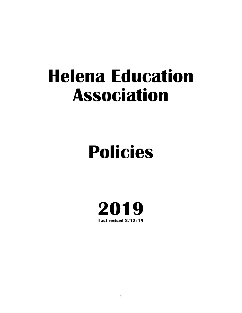## **Helena Education Association**

# **Policies**

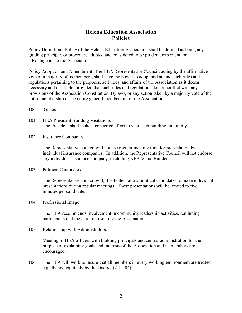#### **Helena Education Association Policies**

Policy Definition: Policy of the Helena Education Association shall be defined as being any guiding principle, or procedure adopted and considered to be prudent, expedient, or advantageous to the Association.

Policy Adoption and Amendment: The HEA Representative Council, acting by the affirmative vote of a majority of its members, shall have the power to adopt and amend such rules and regulations pertaining to the purposes, activities, and affairs of the Association as it deems necessary and desirable, provided that such rules and regulations do not conflict with any provisions of the Association Constitution, Bylaws, or any action taken by a majority vote of the entire membership of the entire general membership of the Association.

- 100 General
- 101 HEA President Building Visitations The President shall make a concerted effort to visit each building bimonthly.
- 102 Insurance Companies

The Representative council will not use regular meeting time for presentation by individual insurance companies. In addition, the Representative Council will not endorse any individual insurance company, excluding NEA Value Builder.

103 Political Candidates

The Representative council will, if solicited, allow political candidates to make individual presentations during regular meetings. These presentations will be limited to five minutes per candidate.

104 Professional Image

The HEA recommends involvement in community leadership activities, reminding participants that they are representing the Association.

105 Relationship with Administrators.

Meeting of HEA officers with building principals and central administration for the purpose of explaining goals and interests of the Association and its members are encouraged.

106 The HEA will work to insure that all members in every working environment are treated equally and equitably by the District (2-11-04)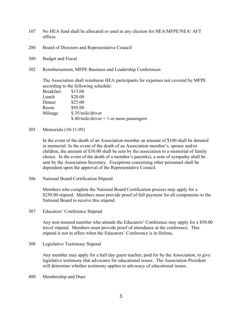- 107 No HEA fund shall be allocated or used in any election for HEA/MFPE/NEA/ AFT offices
- 200 Board of Directors and Representative Council
- 300 Budget and Fiscal
- 302 Reimbursement, MFPE Business and Leadership Conferences

The Association shall reimburse HEA participants for expenses not covered by MFPE according to the following schedule:

| <b>Breakfast</b> | \$15.00                                   |
|------------------|-------------------------------------------|
| Lunch            | \$20.00                                   |
| Dinner           | \$25.00                                   |
| Room             | \$95.00                                   |
| Mileage          | \$.35/mile/driver                         |
|                  | \$.40/mile/driver $+1$ or more passengers |

305 Memorials (10-11-05)

In the event of the death of an Association member an amount of \$100 shall be donated in memorial. In the event of the death of an Association member's, spouse and/or children, the amount of \$30.00 shall be sent by the association to a memorial of family choice. In the event of the death of a member's parent(s), a note of sympathy shall be sent by the Association Secretary. Exceptions concerning other personnel shall be dependent upon the approval of the Representative Council.

306 National Board Certification Stipend

Members who complete the National Board Certification process may apply for a \$250.00 stipend. Members must provide proof of full payment for all components to the National Board to receive this stipend.

307 Educators' Conference Stipend

Any non-tenured member who attends the Educators' Conference may apply for a \$50.00 travel stipend. Members must provide proof of attendance at the conference. This stipend is not in effect when the Educators' Conference is in Helena.

308 Legislative Testimony Stipend

Any member may apply for a half day guest teacher, paid for by the Association, to give legislative testimony that advocates for educational issues. The Association President will determine whether testimony applies to advocacy of educational issues.

400 Membership and Dues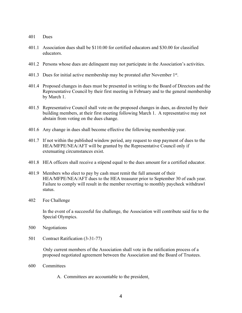- 401 Dues
- 401.1 Association dues shall be \$110.00 for certified educators and \$30.00 for classified educators.
- 401.2 Persons whose dues are delinquent may not participate in the Association's activities.
- 401.3 Dues for initial active membership may be prorated after November 1st.
- 401.4 Proposed changes in dues must be presented in writing to the Board of Directors and the Representative Council by their first meeting in February and to the general membership by March 1.
- 401.5 Representative Council shall vote on the proposed changes in dues, as directed by their building members, at their first meeting following March 1. A representative may not abstain from voting on the dues change.
- 401.6 Any change in dues shall become effective the following membership year.
- 401.7 If not within the published window period, any request to stop payment of dues to the HEA/MFPE/NEA/AFT will be granted by the Representative Council only if extenuating circumstances exist.
- 401.8 HEA officers shall receive a stipend equal to the dues amount for a certified educator.
- 401.9 Members who elect to pay by cash must remit the full amount of their HEA/MFPE/NEA/AFT dues to the HEA treasurer prior to September 30 of each year. Failure to comply will result in the member reverting to monthly paycheck withdrawl status.
- 402 Fee Challenge

In the event of a successful fee challenge, the Association will contribute said fee to the Special Olympics.

- 500 Negotiations
- 501 Contract Ratification (3-31-77)

Only current members of the Association shall vote in the ratification process of a proposed negotiated agreement between the Association and the Board of Trustees.

- 600 Committees
	- A. Committees are accountable to the president.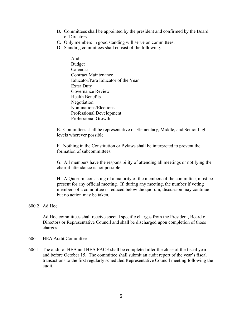- B. Committees shall be appointed by the president and confirmed by the Board of Directors
- C. Only members in good standing will serve on committees.
- D. Standing committees shall consist of the following:
	- Audit Budget Calendar Contract Maintenance Educator/Para Educator of the Year Extra Duty Governance Review Health Benefits Negotiation Nominations/Elections Professional Development Professional Growth

E. Committees shall be representative of Elementary, Middle, and Senior high levels wherever possible.

F. Nothing in the Constitution or Bylaws shall be interpreted to prevent the formation of subcommittees.

G. All members have the responsibility of attending all meetings or notifying the chair if attendance is not possible.

H. A Quorum, consisting of a majority of the members of the committee, must be present for any official meeting. If, during any meeting, the number if voting members of a committee is reduced below the quorum, discussion may continue but no action may be taken.

#### 600.2 Ad Hoc

Ad Hoc committees shall receive special specific charges from the President, Board of Directors or Representative Council and shall be discharged upon completion of those charges.

- 606 HEA Audit Committee
- 606.1 The audit of HEA and HEA PACE shall be completed after the close of the fiscal year and before October 15. The committee shall submit an audit report of the year's fiscal transactions to the first regularly scheduled Representative Council meeting following the audit.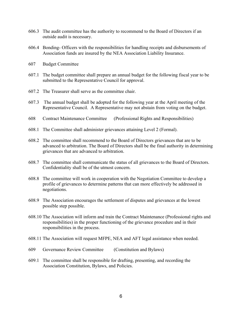- 606.3 The audit committee has the authority to recommend to the Board of Directors if an outside audit is necessary.
- 606.4 Bonding- Officers with the responsibilities for handling receipts and disbursements of Association funds are insured by the NEA Association Liability Insurance.
- 607 Budget Committee
- 607.1 The budget committee shall prepare an annual budget for the following fiscal year to be submitted to the Representative Council for approval.
- 607.2 The Treasurer shall serve as the committee chair.
- 607.3 The annual budget shall be adopted for the following year at the April meeting of the Representative Council. A Representative may not abstain from voting on the budget.
- 608 Contract Maintenance Committee (Professional Rights and Responsibilities)
- 608.1 The Committee shall administer grievances attaining Level 2 (Formal).
- 608.2 The committee shall recommend to the Board of Directors grievances that are to be advanced to arbitration. The Board of Directors shall be the final authority in determining grievances that are advanced to arbitration.
- 608.7 The committee shall communicate the status of all grievances to the Board of Directors. Confidentiality shall be of the utmost concern.
- 608.8 The committee will work in cooperation with the Negotiation Committee to develop a profile of grievances to determine patterns that can more effectively be addressed in negotiations.
- 608.9 The Association encourages the settlement of disputes and grievances at the lowest possible step possible.
- 608.10 The Association will inform and train the Contract Maintenance (Professional rights and responsibilities) in the proper functioning of the grievance procedure and in their responsibilities in the process.
- 608.11 The Association will request MFPE, NEA and AFT legal assistance when needed.
- 609 Governance Review Committee (Constitution and Bylaws)
- 609.1 The committee shall be responsible for drafting, presenting, and recording the Association Constitution, Bylaws, and Policies.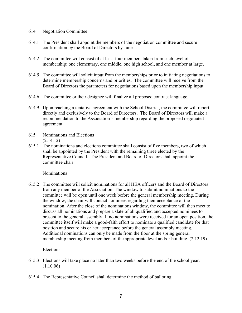- 614 Negotiation Committee
- 614.1 The President shall appoint the members of the negotiation committee and secure confirmation by the Board of Directors by June 1.
- 614.2 The committee will consist of at least four members taken from each level of membership: one elementary, one middle, one high school, and one member at large.
- 614.5 The committee will solicit input from the memberships prior to initiating negotiations to determine membership concerns and priorities. The committee will receive from the Board of Directors the parameters for negotiations based upon the membership input.
- 614.6 The committee or their designee will finalize all proposed contract language.
- 614.9 Upon reaching a tentative agreement with the School District, the committee will report directly and exclusively to the Board of Directors. The Board of Directors will make a recommendation to the Association's membership regarding the proposed negotiated agreement.
- 615 Nominations and Elections (2.14.12)
- 615.1 The nominations and elections committee shall consist of five members, two of which shall be appointed by the President with the remaining three elected by the Representative Council. The President and Board of Directors shall appoint the committee chair.

**Nominations** 

615.2 The committee will solicit nominations for all HEA officers and the Board of Directors from any member of the Association. The window to submit nominations to the committee will be open until one week before the general membership meeting. During the window, the chair will contact nominees regarding their acceptance of the nomination. After the close of the nominations window, the committee will then meet to discuss all nominations and prepare a slate of all qualified and accepted nominees to present to the general assembly. If no nominations were received for an open position, the committee itself will make a good-faith effort to nominate a qualified candidate for that position and secure his or her acceptance before the general assembly meeting. Additional nominations can only be made from the floor at the spring general membership meeting from members of the appropriate level and/or building. (2.12.19)

Elections

- 615.3 Elections will take place no later than two weeks before the end of the school year. (1.10.06)
- 615.4 The Representative Council shall determine the method of balloting.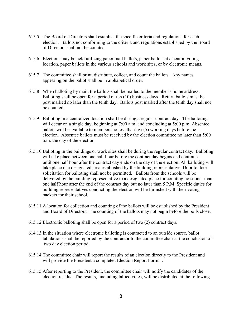- 615.5 The Board of Directors shall establish the specific criteria and regulations for each election. Ballots not conforming to the criteria and regulations established by the Board of Directors shall not be counted.
- 615.6 Elections may be held utilizing paper mail ballots, paper ballots at a central voting location, paper ballots in the various schools and work sites, or by electronic means.
- 615.7 The committee shall print, distribute, collect, and count the ballots. Any names appearing on the ballot shall be in alphabetical order.
- 615.8 When balloting by mail, the ballots shall be mailed to the member's home address. Balloting shall be open for a period of ten (10) business days. Return ballots must be post marked no later than the tenth day. Ballots post marked after the tenth day shall not be counted.
- 615.9 Balloting in a centralized location shall be during a regular contract day. The balloting will occur on a single day, beginning at 7:00 a.m. and concluding at 5:00 p.m. Absentee ballots will be available to members no less than five(5) working days before the election. Absentee ballots must be received by the election committee no later than 5:00 p.m. the day of the election.
- 615.10 Balloting in the buildings or work sites shall be during the regular contract day. Balloting will take place between one half hour before the contract day begins and continue until one half hour after the contract day ends on the day of the election. All balloting will take place in a designated area established by the building representative. Door to door solicitation for balloting shall not be permitted. Ballots from the schools will be delivered by the building representative to a designated place for counting no sooner than one half hour after the end of the contract day but no later than 5 P.M. Specific duties for building representatives conducting the election will be furnished with their voting packets for their school.
- 615.11 A location for collection and counting of the ballots will be established by the President and Board of Directors. The counting of the ballots may not begin before the polls close.
- 615.12 Electronic balloting shall be open for a period of two (2) contract days.
- 614.13 In the situation where electronic balloting is contracted to an outside source, ballot tabulations shall be reported by the contractor to the committee chair at the conclusion of two day election period.
- 615.14 The committee chair will report the results of an election directly to the President and will provide the President a completed Election Report Form...
- 615.15 After reporting to the President, the committee chair will notify the candidates of the election results. The results, including tallied votes, will be distributed at the following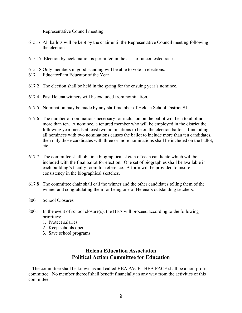Representative Council meeting.

- 615.16 All ballots will be kept by the chair until the Representative Council meeting following the election.
- 615.17 Election by acclamation is permitted in the case of uncontested races.
- 615.18 Only members in good standing will be able to vote in elections.
- 617 EducatorPara Educator of the Year
- 617.2 The election shall be held in the spring for the ensuing year's nominee.
- 617.4 Past Helena winners will be excluded from nomination.
- 617.5 Nomination may be made by any staff member of Helena School District #1.
- 617.6 The number of nominations necessary for inclusion on the ballot will be a total of no more than ten. A nominee, a tenured member who will be employed in the district the following year, needs at least two nominations to be on the election ballot. If including all nominees with two nominations causes the ballot to include more than ten candidates, then only those candidates with three or more nominations shall be included on the ballot, etc.
- 617.7 The committee shall obtain a biographical sketch of each candidate which will be included with the final ballot for election. One set of biographies shall be available in each building's faculty room for reference. A form will be provided to insure consistency in the biographical sketches.
- 617.8 The committee chair shall call the winner and the other candidates telling them of the winner and congratulating them for being one of Helena's outstanding teachers.
- 800 School Closures
- 800.1 In the event of school closure(s), the HEA will proceed according to the following priorities:
	- 1. Protect salaries.
	- 2. Keep schools open.
	- 3. Save school programs

### **Helena Education Association Political Action Committee for Education**

The committee shall be known as and called HEA PACE. HEA PACE shall be a non-profit committee. No member thereof shall benefit financially in any way from the activities of this committee.